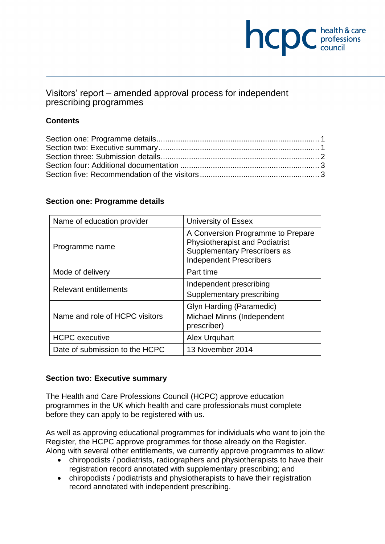# **NCDC** health & care

# Visitors' report – amended approval process for independent prescribing programmes

# **Contents**

## **Section one: Programme details**

| Name of education provider     | University of Essex                                                                                                                          |
|--------------------------------|----------------------------------------------------------------------------------------------------------------------------------------------|
| Programme name                 | A Conversion Programme to Prepare<br><b>Physiotherapist and Podiatrist</b><br>Supplementary Prescribers as<br><b>Independent Prescribers</b> |
| Mode of delivery               | Part time                                                                                                                                    |
| <b>Relevant entitlements</b>   | Independent prescribing<br>Supplementary prescribing                                                                                         |
| Name and role of HCPC visitors | Glyn Harding (Paramedic)<br>Michael Minns (Independent<br>prescriber)                                                                        |
| <b>HCPC</b> executive          | Alex Urguhart                                                                                                                                |
| Date of submission to the HCPC | 13 November 2014                                                                                                                             |

## **Section two: Executive summary**

The Health and Care Professions Council (HCPC) approve education programmes in the UK which health and care professionals must complete before they can apply to be registered with us.

As well as approving educational programmes for individuals who want to join the Register, the HCPC approve programmes for those already on the Register. Along with several other entitlements, we currently approve programmes to allow:

- chiropodists / podiatrists, radiographers and physiotherapists to have their registration record annotated with supplementary prescribing; and
- chiropodists / podiatrists and physiotherapists to have their registration record annotated with independent prescribing.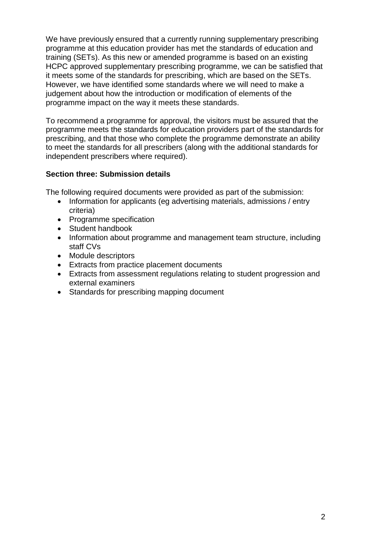We have previously ensured that a currently running supplementary prescribing programme at this education provider has met the standards of education and training (SETs). As this new or amended programme is based on an existing HCPC approved supplementary prescribing programme, we can be satisfied that it meets some of the standards for prescribing, which are based on the SETs. However, we have identified some standards where we will need to make a judgement about how the introduction or modification of elements of the programme impact on the way it meets these standards.

To recommend a programme for approval, the visitors must be assured that the programme meets the standards for education providers part of the standards for prescribing, and that those who complete the programme demonstrate an ability to meet the standards for all prescribers (along with the additional standards for independent prescribers where required).

## **Section three: Submission details**

The following required documents were provided as part of the submission:

- Information for applicants (eg advertising materials, admissions / entry criteria)
- Programme specification
- Student handbook
- Information about programme and management team structure, including staff CVs
- Module descriptors
- Extracts from practice placement documents
- Extracts from assessment regulations relating to student progression and external examiners
- Standards for prescribing mapping document